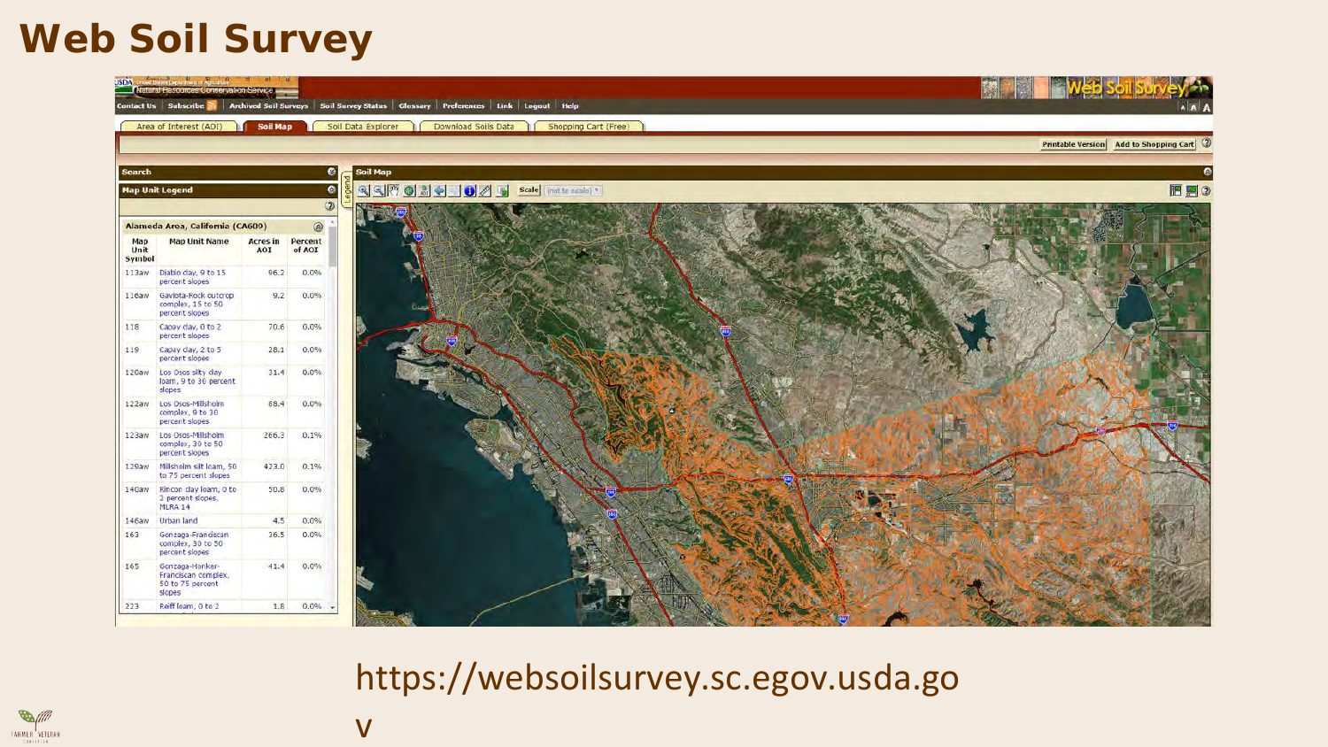#### **Web Soil Survey**



#### https://websoilsurvey.sc.egov.usda.go



#### v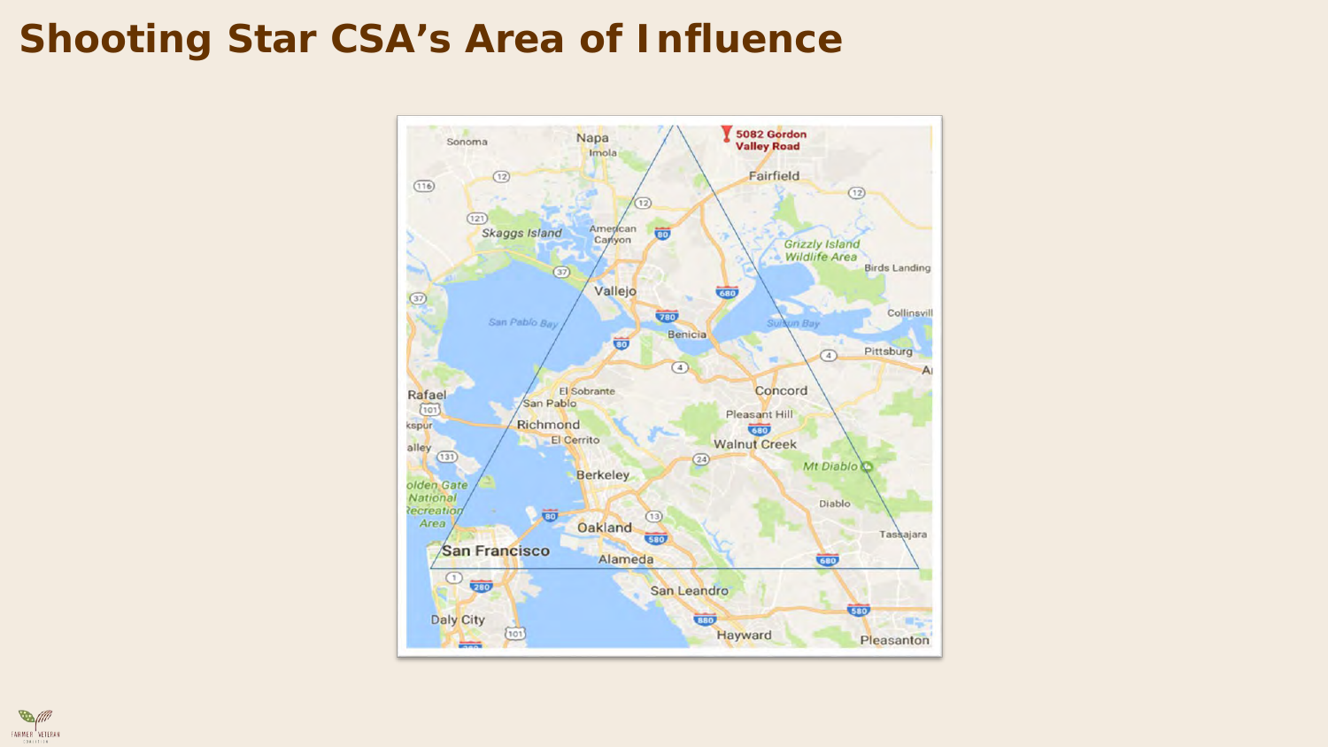#### **Shooting Star CSA's Area of Influence**



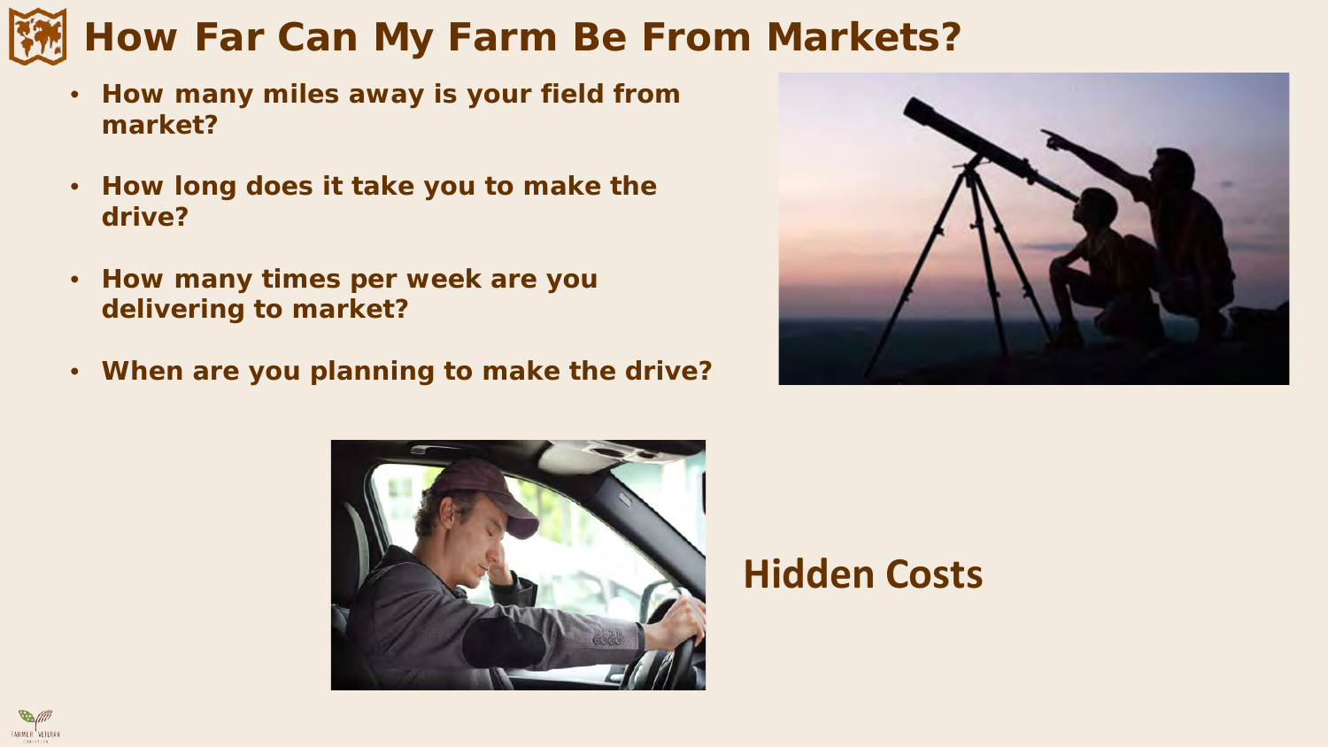# **How Far Can My Farm Be From Markets?**

- **How many miles away is your field from market?**
- **How long does it take you to make the drive?**
- **How many times per week are you delivering to market?**

**FARMER** VETERAN

• **When are you planning to make the drive?**





# **Hidden Costs**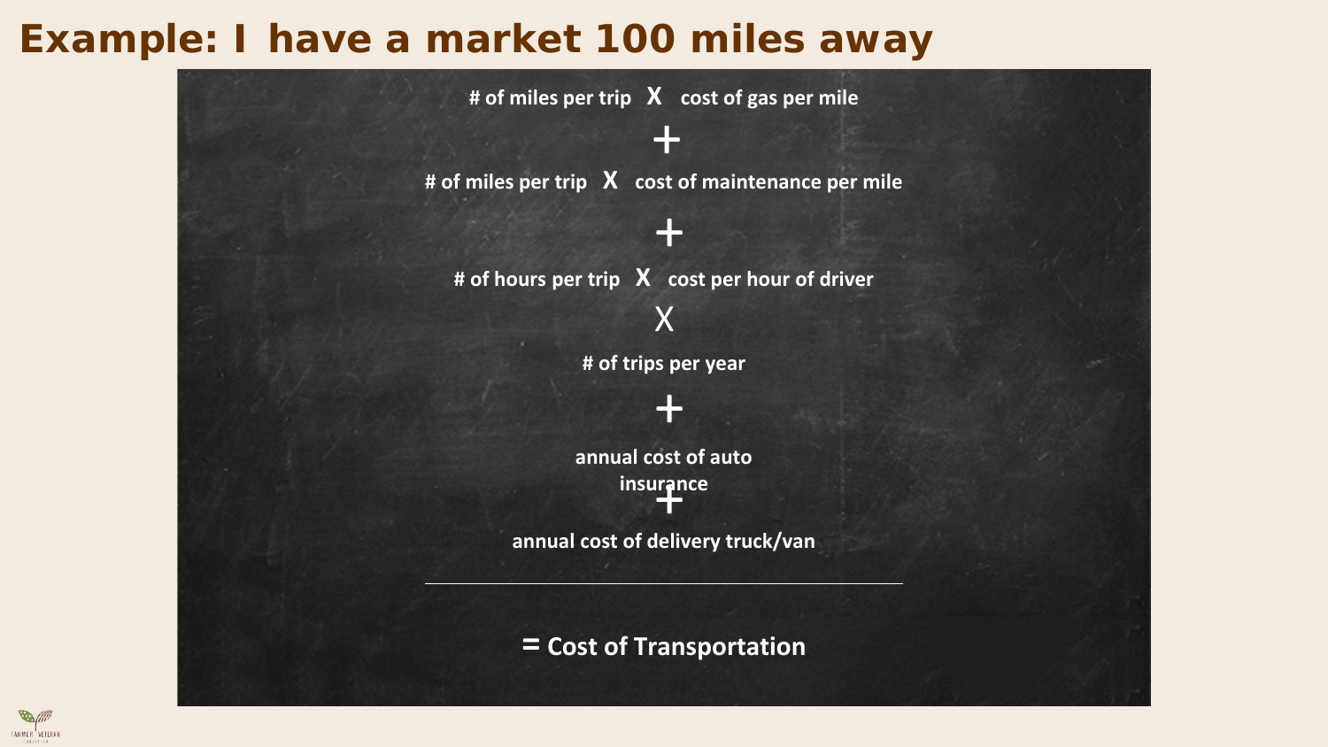### **Example: I have a market 100 miles away**



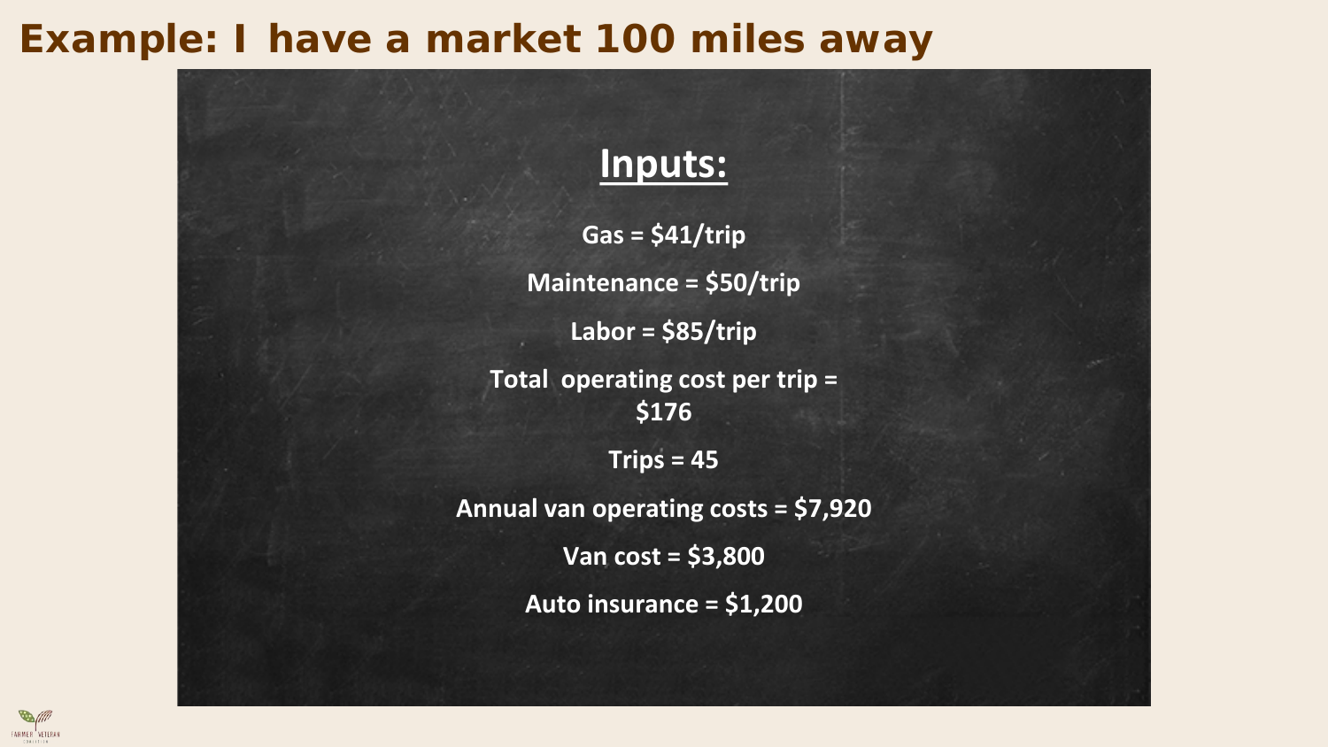#### **Example: I have a market 100 miles away**



**Gas = \$41/trip Maintenance = \$50/trip Labor = \$85/trip Total operating cost per trip = \$176 Trips = 45 Annual van operating costs = \$7,920**

**Van cost = \$3,800**

**Auto insurance = \$1,200**

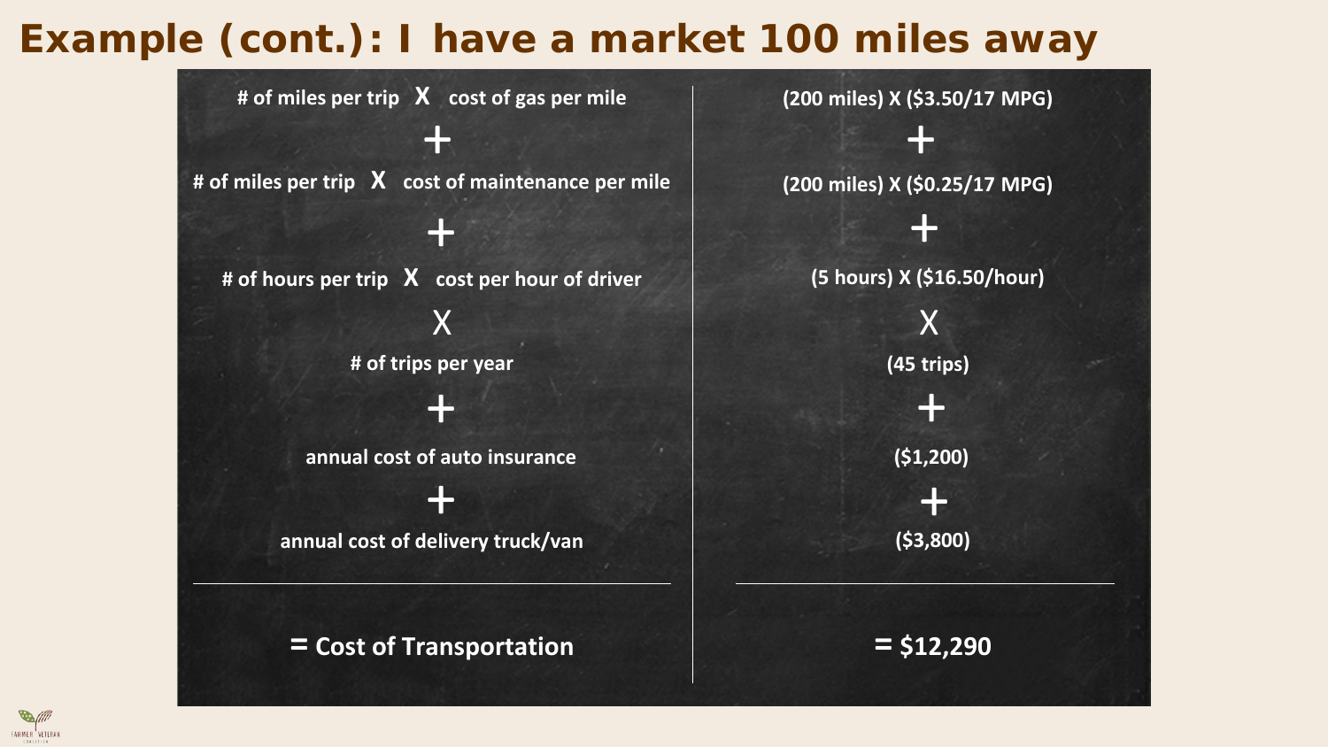# **Example (cont.): I have a market 100 miles away**



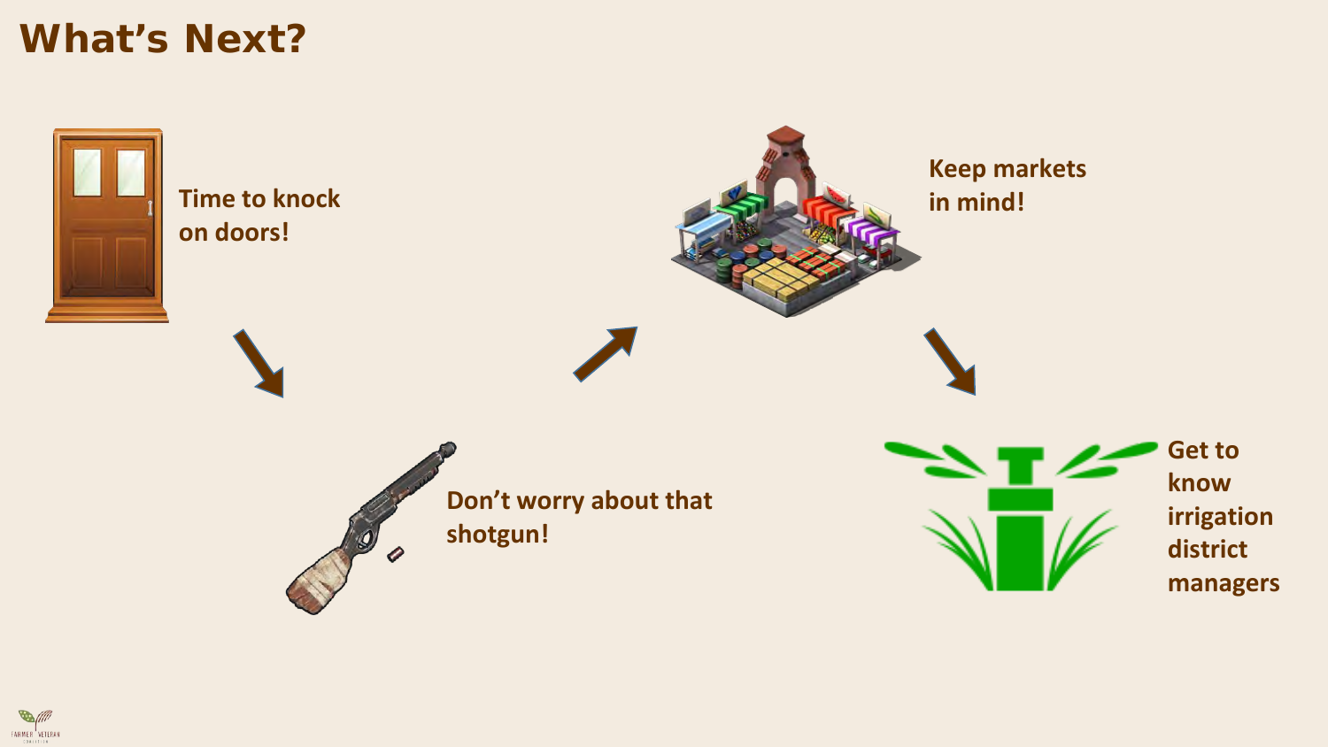#### **What's Next?**



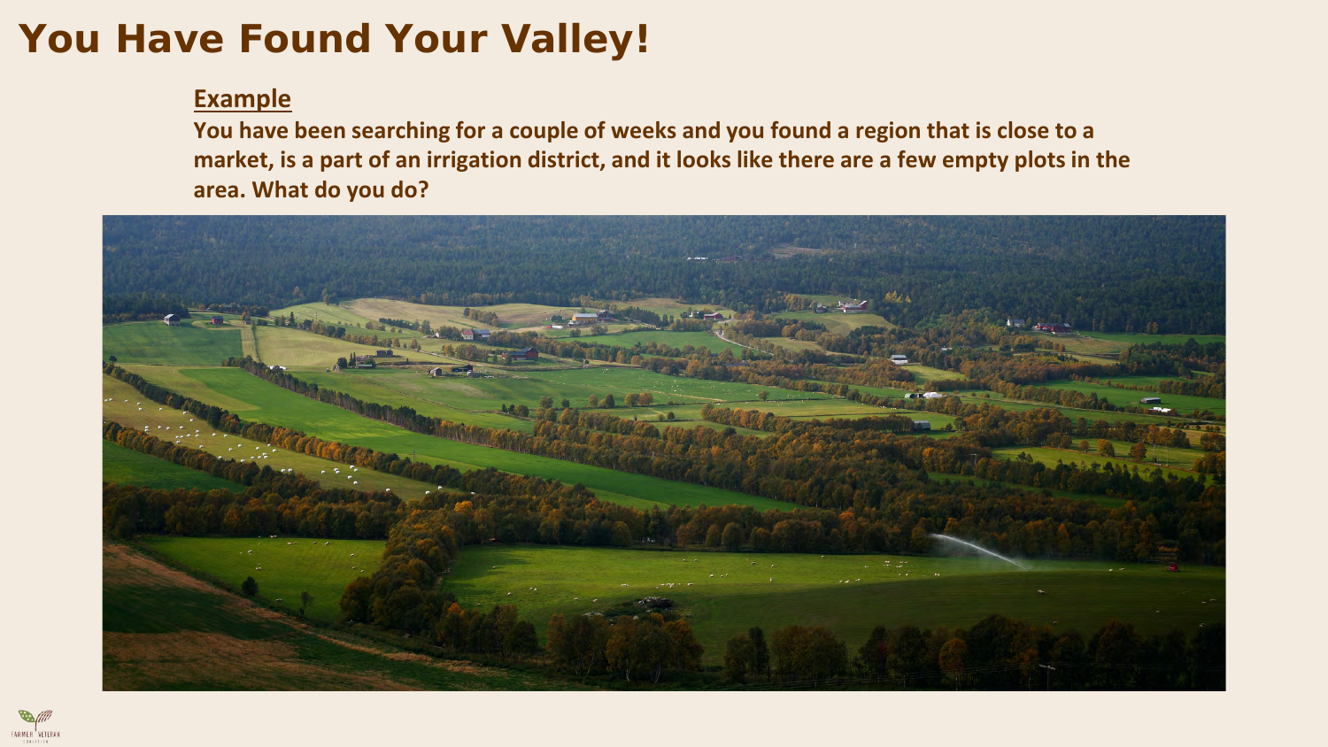# **You Have Found Your Valley!**

#### **Example**

**You have been searching for a couple of weeks and you found a region that is close to a market, is a part of an irrigation district, and it looks like there are a few empty plots in the area. What do you do?** 



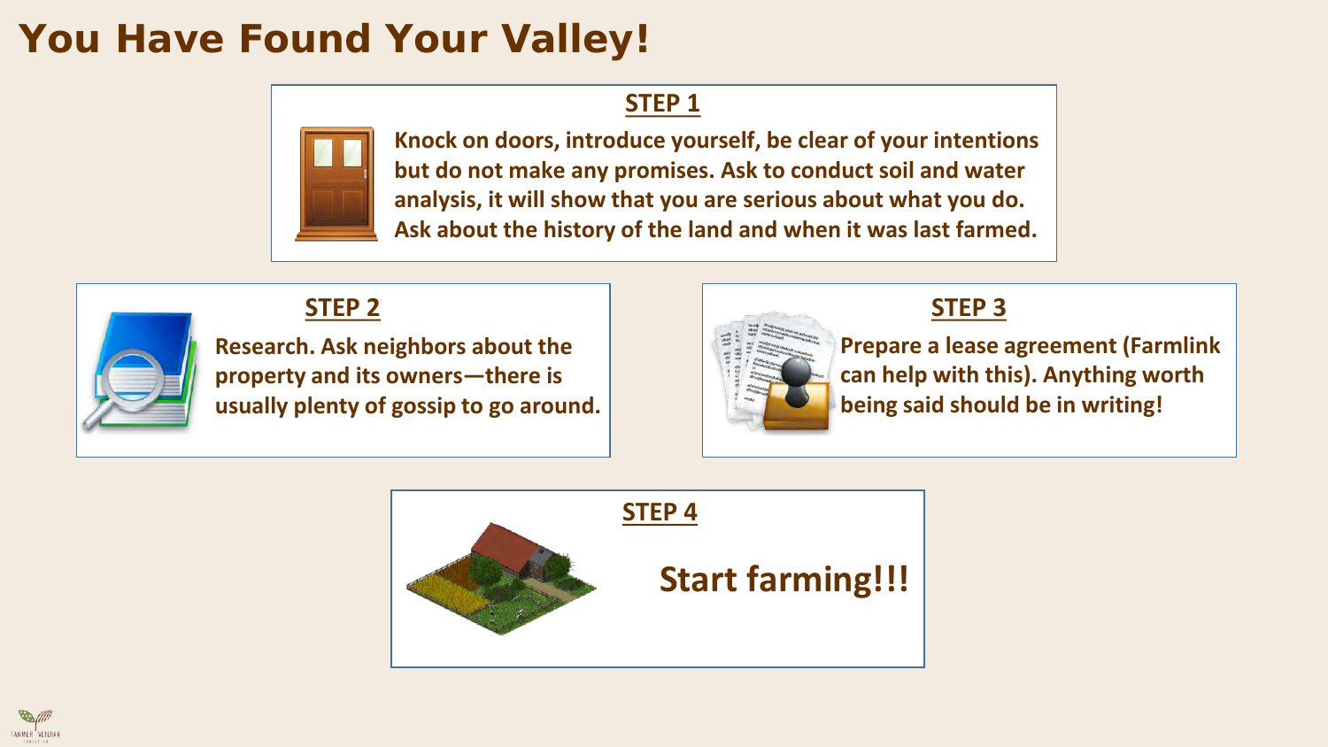# **You Have Found Your Valley!**

#### **STEP 1**



**Knock on doors, introduce yourself, be clear of your intentions but do not make any promises. Ask to conduct soil and water analysis, it will show that you are serious about what you do. Ask about the history of the land and when it was last farmed.**



#### **STEP 2**

**Research. Ask neighbors about the property and its owners—there is usually plenty of gossip to go around.**



#### **STEP 3**

**Prepare a lease agreement (Farmlink can help with this). Anything worth being said should be in writing!**



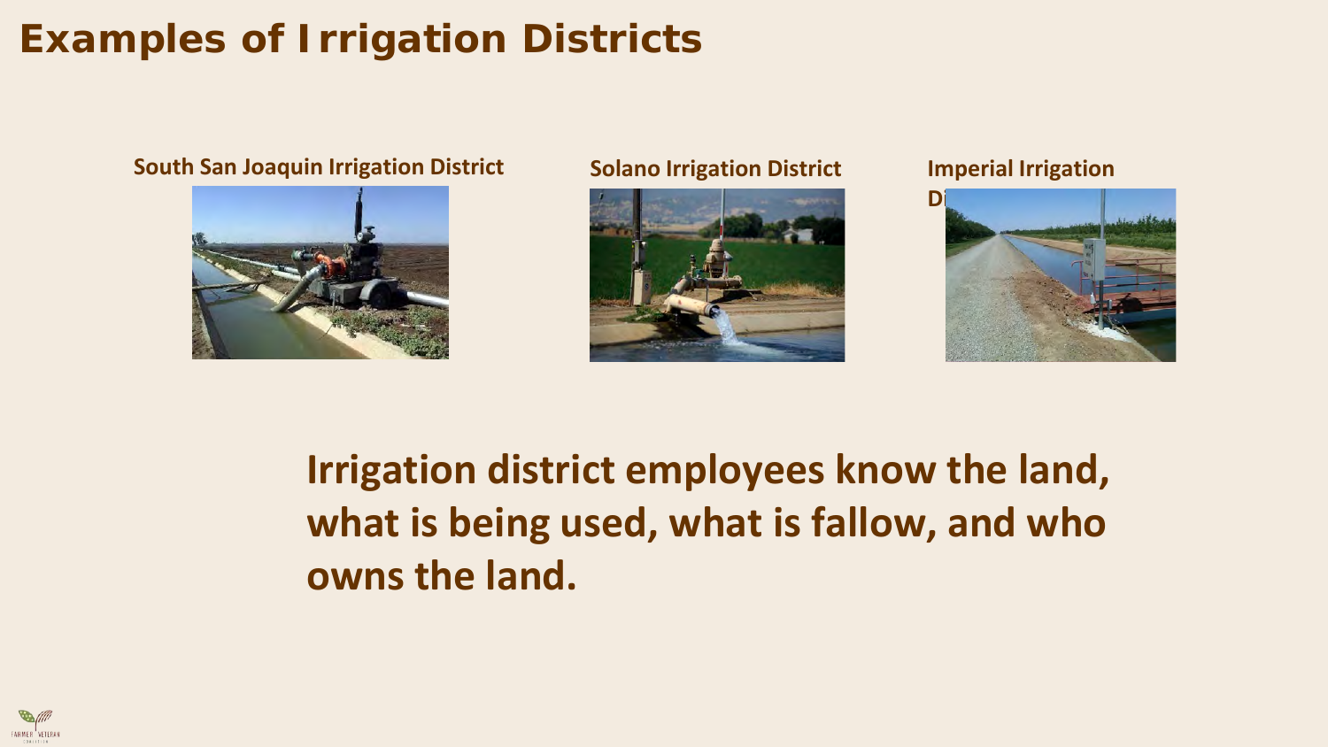# **Examples of Irrigation Districts**

#### **South San Joaquin Irrigation District Solano Irrigation District Imperial Irrigation**







# **Irrigation district employees know the land, what is being used, what is fallow, and who owns the land.**

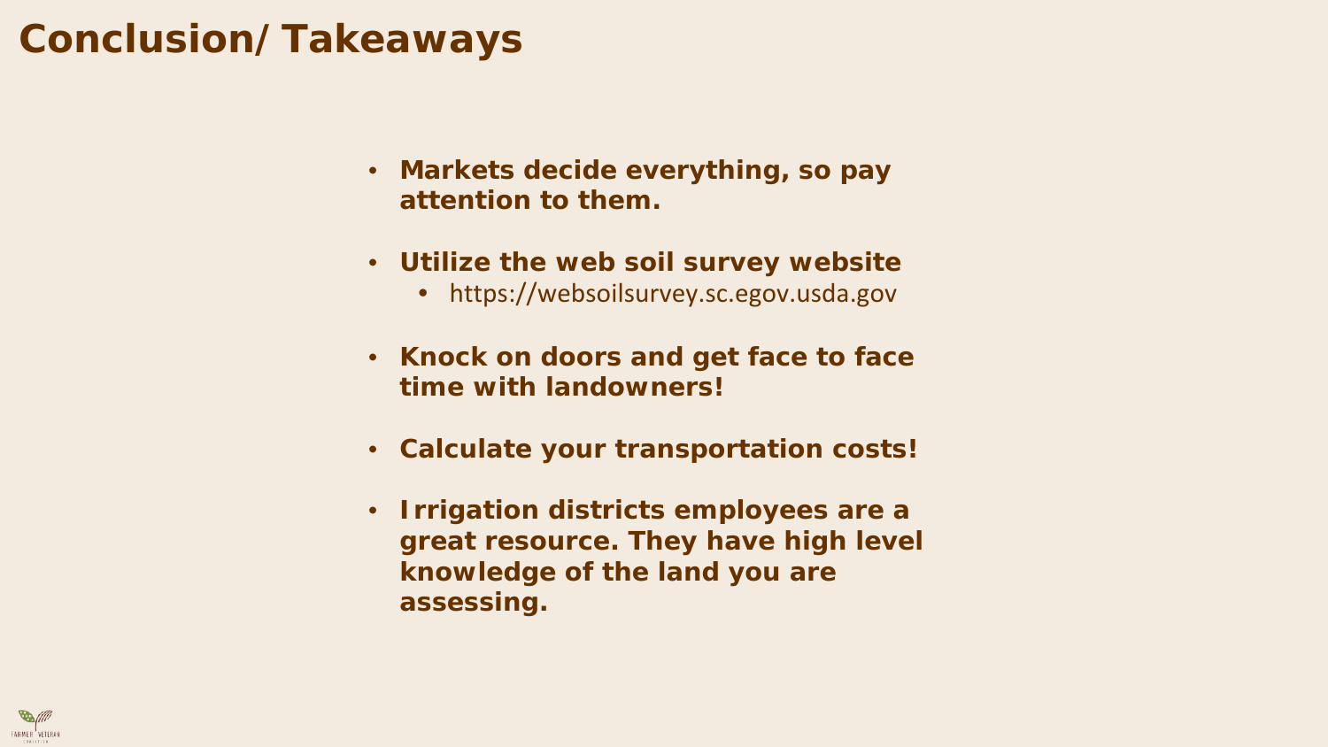### **Conclusion/Takeaways**

- **Markets decide everything, so pay attention to them.**
- **Utilize the web soil survey website**
	- https://websoilsurvey.sc.egov.usda.gov
- **Knock on doors and get face to face time with landowners!**
- **Calculate your transportation costs!**
- **Irrigation districts employees are a great resource. They have high level knowledge of the land you are assessing.**